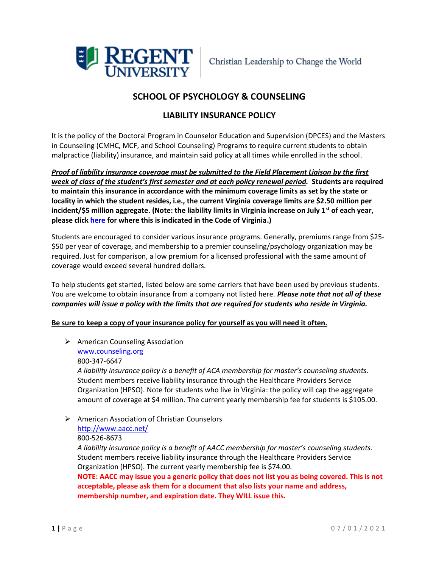

# **SCHOOL OF PSYCHOLOGY & COUNSELING**

## **LIABILITY INSURANCE POLICY**

It is the policy of the Doctoral Program in Counselor Education and Supervision (DPCES) and the Masters in Counseling (CMHC, MCF, and School Counseling) Programs to require current students to obtain malpractice (liability) insurance, and maintain said policy at all times while enrolled in the school.

*Proof of liability insurance coverage must be submitted to the Field Placement Liaison by the first week of class of the student's first semester and at each policy renewal period.* **Students are required to maintain this insurance in accordance with the minimum coverage limits as set by the state or locality in which the student resides, i.e., the current Virginia coverage limits are \$2.50 million per incident/\$5 million aggregate. (Note: the liability limits in Virginia increase on July 1st of each year, please click [here](https://law.lis.virginia.gov/vacode/8.01-581.15/) for where this is indicated in the Code of Virginia.)**

Students are encouraged to consider various insurance programs. Generally, premiums range from \$25- \$50 per year of coverage, and membership to a premier counseling/psychology organization may be required. Just for comparison, a low premium for a licensed professional with the same amount of coverage would exceed several hundred dollars.

To help students get started, listed below are some carriers that have been used by previous students. You are welcome to obtain insurance from a company not listed here. *Please note that not all of these companies will issue a policy with the limits that are required for students who reside in Virginia.* 

### **Be sure to keep a copy of your insurance policy for yourself as you will need it often.**

➢ American Counseling Association [www.counseling.org](http://www.counseling.org/) 800-347-6647

*A liability insurance policy is a benefit of ACA membership for master's counseling students.* Student members receive liability insurance through the Healthcare Providers Service Organization (HPSO). Note for students who live in Virginia: the policy will cap the aggregate amount of coverage at \$4 million. The current yearly membership fee for students is \$105.00.

➢ American Association of Christian Counselors

### <http://www.aacc.net/>

### 800-526-8673

*A liability insurance policy is a benefit of AACC membership for master's counseling students.*  Student members receive liability insurance through the Healthcare Providers Service Organization (HPSO). The current yearly membership fee is \$74.00.

**NOTE: AACC may issue you a generic policy that does not list you as being covered. This is not acceptable, please ask them for a document that also lists your name and address, membership number, and expiration date. They WILL issue this.**